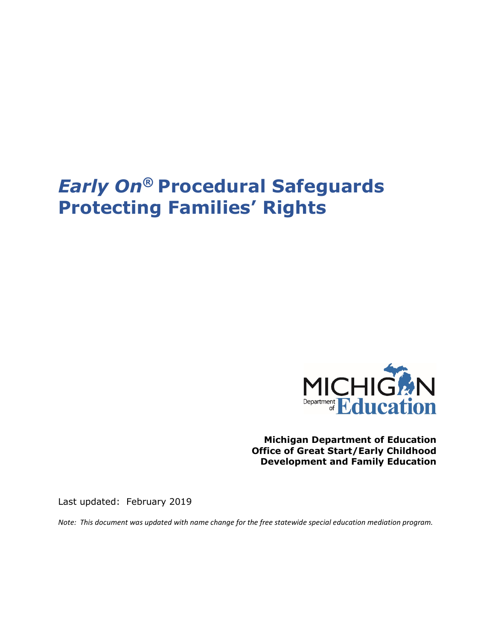# *Early On***® Procedural Safeguards Protecting Families' Rights**



**Michigan Department of Education Office of Great Start/Early Childhood Development and Family Education**

Last updated: February 2019

*Note: This document was updated with name change for the free statewide special education mediation program.*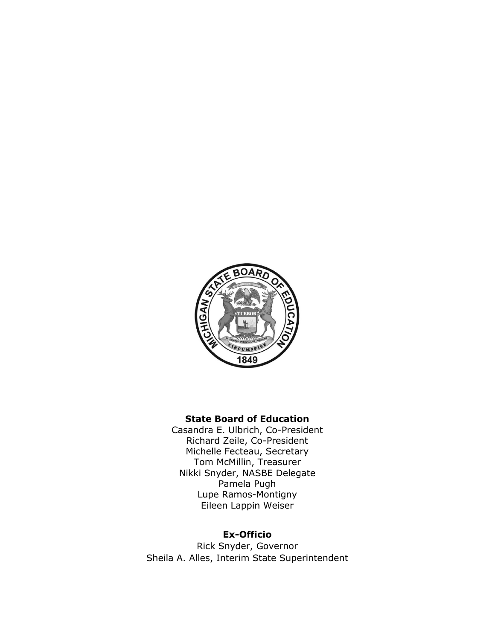

#### **State Board of Education**

Casandra E. Ulbrich, Co-President Richard Zeile, Co-President Michelle Fecteau, Secretary Tom McMillin, Treasurer Nikki Snyder, NASBE Delegate Pamela Pugh Lupe Ramos-Montigny Eileen Lappin Weiser

#### **Ex-Officio**

Rick Snyder, Governor Sheila A. Alles, Interim State Superintendent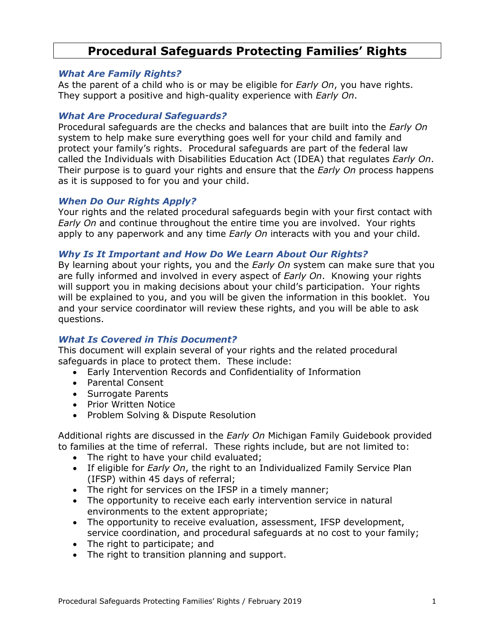# **Procedural Safeguards Protecting Families' Rights**

#### *What Are Family Rights?*

As the parent of a child who is or may be eligible for *Early On*, you have rights. They support a positive and high-quality experience with *Early On*.

#### *What Are Procedural Safeguards?*

Procedural safeguards are the checks and balances that are built into the *Early On* system to help make sure everything goes well for your child and family and protect your family's rights. Procedural safeguards are part of the federal law called the Individuals with Disabilities Education Act (IDEA) that regulates *Early On*. Their purpose is to guard your rights and ensure that the *Early On* process happens as it is supposed to for you and your child.

#### *When Do Our Rights Apply?*

Your rights and the related procedural safeguards begin with your first contact with *Early On* and continue throughout the entire time you are involved. Your rights apply to any paperwork and any time *Early On* interacts with you and your child.

#### *Why Is It Important and How Do We Learn About Our Rights?*

By learning about your rights, you and the *Early On* system can make sure that you are fully informed and involved in every aspect of *Early On*. Knowing your rights will support you in making decisions about your child's participation. Your rights will be explained to you, and you will be given the information in this booklet. You and your service coordinator will review these rights, and you will be able to ask questions.

#### *What Is Covered in This Document?*

This document will explain several of your rights and the related procedural safeguards in place to protect them. These include:

- Early Intervention Records and Confidentiality of Information
- Parental Consent
- Surrogate Parents
- Prior Written Notice
- Problem Solving & Dispute Resolution

Additional rights are discussed in the *Early On* Michigan Family Guidebook provided to families at the time of referral. These rights include, but are not limited to:

- The right to have your child evaluated;
- If eligible for *Early On*, the right to an Individualized Family Service Plan (IFSP) within 45 days of referral;
- The right for services on the IFSP in a timely manner;
- The opportunity to receive each early intervention service in natural environments to the extent appropriate;
- The opportunity to receive evaluation, assessment, IFSP development, service coordination, and procedural safeguards at no cost to your family;
- The right to participate; and
- The right to transition planning and support.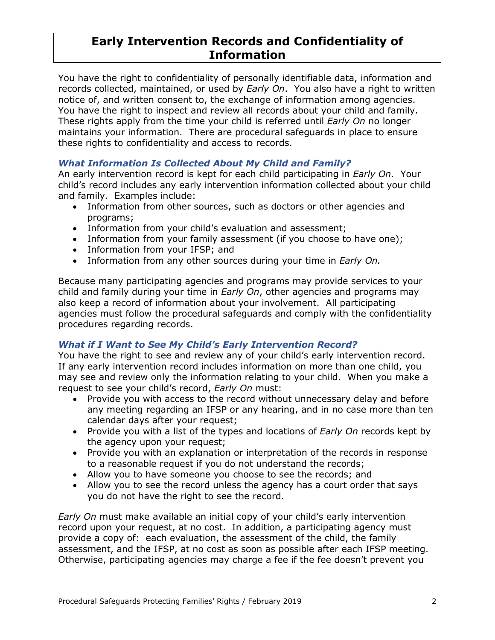# **Early Intervention Records and Confidentiality of Information**

You have the right to confidentiality of personally identifiable data, information and records collected, maintained, or used by *Early On*. You also have a right to written notice of, and written consent to, the exchange of information among agencies. You have the right to inspect and review all records about your child and family. These rights apply from the time your child is referred until *Early On* no longer maintains your information. There are procedural safeguards in place to ensure these rights to confidentiality and access to records.

## *What Information Is Collected About My Child and Family?*

An early intervention record is kept for each child participating in *Early On*. Your child's record includes any early intervention information collected about your child and family. Examples include:

- Information from other sources, such as doctors or other agencies and programs;
- Information from your child's evaluation and assessment;
- Information from your family assessment (if you choose to have one);
- Information from your IFSP; and
- Information from any other sources during your time in *Early On.*

Because many participating agencies and programs may provide services to your child and family during your time in *Early On*, other agencies and programs may also keep a record of information about your involvement. All participating agencies must follow the procedural safeguards and comply with the confidentiality procedures regarding records.

#### *What if I Want to See My Child's Early Intervention Record?*

You have the right to see and review any of your child's early intervention record. If any early intervention record includes information on more than one child, you may see and review only the information relating to your child. When you make a request to see your child's record, *Early On* must:

- Provide you with access to the record without unnecessary delay and before any meeting regarding an IFSP or any hearing, and in no case more than ten calendar days after your request;
- Provide you with a list of the types and locations of *Early On* records kept by the agency upon your request;
- Provide you with an explanation or interpretation of the records in response to a reasonable request if you do not understand the records;
- Allow you to have someone you choose to see the records; and
- Allow you to see the record unless the agency has a court order that says you do not have the right to see the record.

*Early On* must make available an initial copy of your child's early intervention record upon your request, at no cost. In addition, a participating agency must provide a copy of: each evaluation, the assessment of the child, the family assessment, and the IFSP, at no cost as soon as possible after each IFSP meeting. Otherwise, participating agencies may charge a fee if the fee doesn't prevent you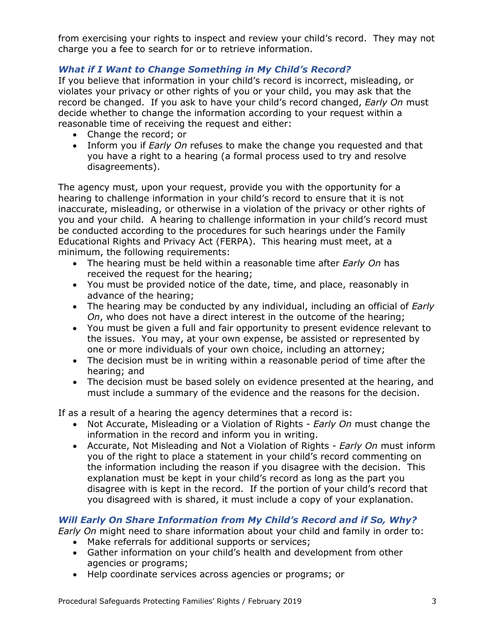from exercising your rights to inspect and review your child's record. They may not charge you a fee to search for or to retrieve information.

## *What if I Want to Change Something in My Child's Record?*

If you believe that information in your child's record is incorrect, misleading, or violates your privacy or other rights of you or your child, you may ask that the record be changed. If you ask to have your child's record changed, *Early On* must decide whether to change the information according to your request within a reasonable time of receiving the request and either:

- Change the record; or
- Inform you if *Early On* refuses to make the change you requested and that you have a right to a hearing (a formal process used to try and resolve disagreements).

The agency must, upon your request, provide you with the opportunity for a hearing to challenge information in your child's record to ensure that it is not inaccurate, misleading, or otherwise in a violation of the privacy or other rights of you and your child. A hearing to challenge information in your child's record must be conducted according to the procedures for such hearings under the Family Educational Rights and Privacy Act (FERPA). This hearing must meet, at a minimum, the following requirements:

- The hearing must be held within a reasonable time after *Early On* has received the request for the hearing;
- You must be provided notice of the date, time, and place, reasonably in advance of the hearing;
- The hearing may be conducted by any individual, including an official of *Early On*, who does not have a direct interest in the outcome of the hearing;
- You must be given a full and fair opportunity to present evidence relevant to the issues. You may, at your own expense, be assisted or represented by one or more individuals of your own choice, including an attorney;
- The decision must be in writing within a reasonable period of time after the hearing; and
- The decision must be based solely on evidence presented at the hearing, and must include a summary of the evidence and the reasons for the decision.

If as a result of a hearing the agency determines that a record is:

- Not Accurate, Misleading or a Violation of Rights *Early On* must change the information in the record and inform you in writing.
- Accurate, Not Misleading and Not a Violation of Rights *Early On* must inform you of the right to place a statement in your child's record commenting on the information including the reason if you disagree with the decision. This explanation must be kept in your child's record as long as the part you disagree with is kept in the record. If the portion of your child's record that you disagreed with is shared, it must include a copy of your explanation.

#### *Will Early On Share Information from My Child's Record and if So, Why?*

*Early On* might need to share information about your child and family in order to: • Make referrals for additional supports or services;

- Gather information on your child's health and development from other agencies or programs;
- Help coordinate services across agencies or programs; or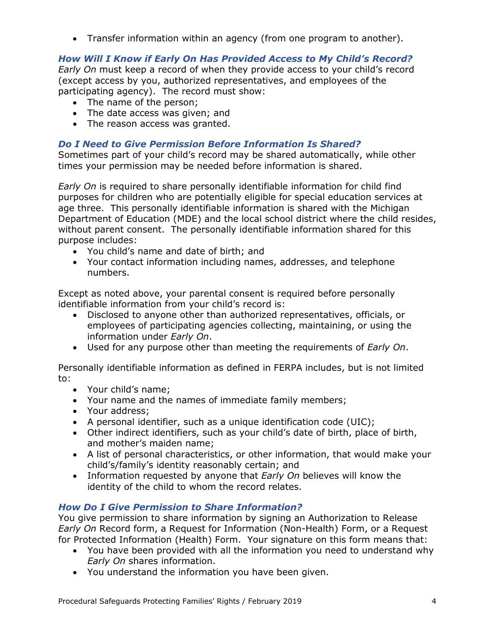• Transfer information within an agency (from one program to another).

# *How Will I Know if Early On Has Provided Access to My Child's Record?*

*Early On* must keep a record of when they provide access to your child's record (except access by you, authorized representatives, and employees of the participating agency). The record must show:

- The name of the person;
- The date access was given; and
- The reason access was granted.

## *Do I Need to Give Permission Before Information Is Shared?*

Sometimes part of your child's record may be shared automatically, while other times your permission may be needed before information is shared.

*Early On* is required to share personally identifiable information for child find purposes for children who are potentially eligible for special education services at age three. This personally identifiable information is shared with the Michigan Department of Education (MDE) and the local school district where the child resides, without parent consent. The personally identifiable information shared for this purpose includes:

- You child's name and date of birth; and
- Your contact information including names, addresses, and telephone numbers.

Except as noted above, your parental consent is required before personally identifiable information from your child's record is:

- Disclosed to anyone other than authorized representatives, officials, or employees of participating agencies collecting, maintaining, or using the information under *Early On*.
- Used for any purpose other than meeting the requirements of *Early On*.

Personally identifiable information as defined in FERPA includes, but is not limited to:

- Your child's name;
- Your name and the names of immediate family members;
- Your address;
- A personal identifier, such as a unique identification code (UIC);
- Other indirect identifiers, such as your child's date of birth, place of birth, and mother's maiden name;
- A list of personal characteristics, or other information, that would make your child's/family's identity reasonably certain; and
- Information requested by anyone that *Early On* believes will know the identity of the child to whom the record relates.

# *How Do I Give Permission to Share Information?*

You give permission to share information by signing an Authorization to Release *Early On* Record form, a Request for Information (Non-Health) Form, or a Request for Protected Information (Health) Form. Your signature on this form means that:

- You have been provided with all the information you need to understand why *Early On* shares information.
- You understand the information you have been given.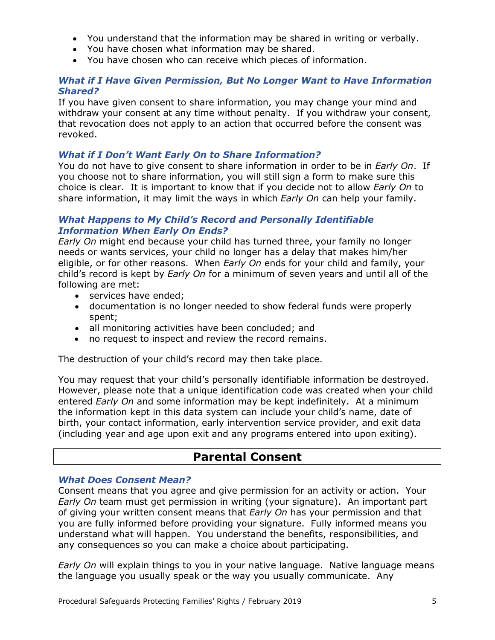- You understand that the information may be shared in writing or verbally.
- You have chosen what information may be shared.
- You have chosen who can receive which pieces of information.

#### *What if I Have Given Permission, But No Longer Want to Have Information Shared?*

If you have given consent to share information, you may change your mind and withdraw your consent at any time without penalty. If you withdraw your consent, that revocation does not apply to an action that occurred before the consent was revoked.

#### *What if I Don't Want Early On to Share Information?*

You do not have to give consent to share information in order to be in *Early On*. If you choose not to share information, you will still sign a form to make sure this choice is clear. It is important to know that if you decide not to allow *Early On* to share information, it may limit the ways in which *Early On* can help your family.

#### *What Happens to My Child's Record and Personally Identifiable Information When Early On Ends?*

*Early On* might end because your child has turned three, your family no longer needs or wants services, your child no longer has a delay that makes him/her eligible, or for other reasons. When *Early On* ends for your child and family, your child's record is kept by *Early On* for a minimum of seven years and until all of the following are met:

- services have ended;
- documentation is no longer needed to show federal funds were properly spent;
- all monitoring activities have been concluded; and
- no request to inspect and review the record remains.

The destruction of your child's record may then take place.

You may request that your child's personally identifiable information be destroyed. However, please note that a unique identification code was created when your child entered *Early On* and some information may be kept indefinitely. At a minimum the information kept in this data system can include your child's name, date of birth, your contact information, early intervention service provider, and exit data (including year and age upon exit and any programs entered into upon exiting).

# **Parental Consent**

#### *What Does Consent Mean?*

Consent means that you agree and give permission for an activity or action. Your *Early On* team must get permission in writing (your signature). An important part of giving your written consent means that *Early On* has your permission and that you are fully informed before providing your signature. Fully informed means you understand what will happen. You understand the benefits, responsibilities, and any consequences so you can make a choice about participating.

*Early On* will explain things to you in your native language. Native language means the language you usually speak or the way you usually communicate. Any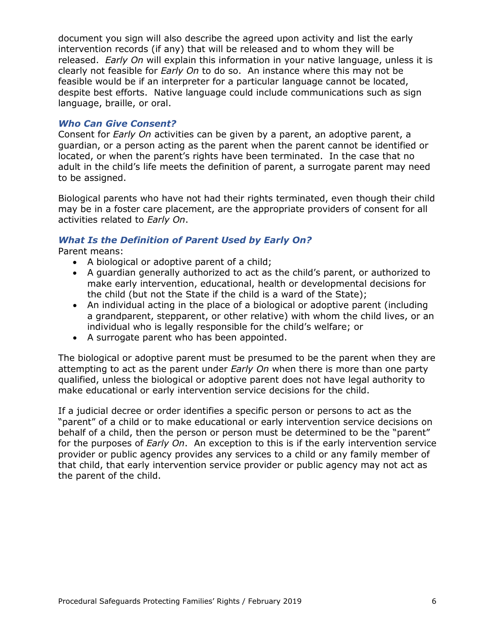document you sign will also describe the agreed upon activity and list the early intervention records (if any) that will be released and to whom they will be released. *Early On* will explain this information in your native language, unless it is clearly not feasible for *Early On* to do so. An instance where this may not be feasible would be if an interpreter for a particular language cannot be located, despite best efforts. Native language could include communications such as sign language, braille, or oral.

#### *Who Can Give Consent?*

Consent for *Early On* activities can be given by a parent, an adoptive parent, a guardian, or a person acting as the parent when the parent cannot be identified or located, or when the parent's rights have been terminated. In the case that no adult in the child's life meets the definition of parent, a surrogate parent may need to be assigned.

Biological parents who have not had their rights terminated, even though their child may be in a foster care placement, are the appropriate providers of consent for all activities related to *Early On*.

#### *What Is the Definition of Parent Used by Early On?*

Parent means:

- A biological or adoptive parent of a child;
- A guardian generally authorized to act as the child's parent, or authorized to make early intervention, educational, health or developmental decisions for the child (but not the State if the child is a ward of the State);
- An individual acting in the place of a biological or adoptive parent (including a grandparent, stepparent, or other relative) with whom the child lives, or an individual who is legally responsible for the child's welfare; or
- A surrogate parent who has been appointed.

The biological or adoptive parent must be presumed to be the parent when they are attempting to act as the parent under *Early On* when there is more than one party qualified, unless the biological or adoptive parent does not have legal authority to make educational or early intervention service decisions for the child.

If a judicial decree or order identifies a specific person or persons to act as the "parent" of a child or to make educational or early intervention service decisions on behalf of a child, then the person or person must be determined to be the "parent" for the purposes of *Early On*. An exception to this is if the early intervention service provider or public agency provides any services to a child or any family member of that child, that early intervention service provider or public agency may not act as the parent of the child.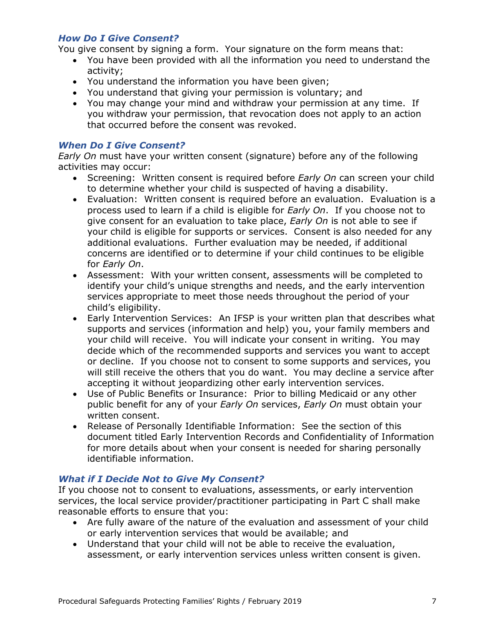#### *How Do I Give Consent?*

You give consent by signing a form. Your signature on the form means that:

- You have been provided with all the information you need to understand the activity;
- You understand the information you have been given;
- You understand that giving your permission is voluntary; and
- You may change your mind and withdraw your permission at any time. If you withdraw your permission, that revocation does not apply to an action that occurred before the consent was revoked.

#### *When Do I Give Consent?*

*Early On* must have your written consent (signature) before any of the following activities may occur:

- Screening: Written consent is required before *Early On* can screen your child to determine whether your child is suspected of having a disability.
- Evaluation: Written consent is required before an evaluation. Evaluation is a process used to learn if a child is eligible for *Early On*. If you choose not to give consent for an evaluation to take place, *Early On* is not able to see if your child is eligible for supports or services. Consent is also needed for any additional evaluations. Further evaluation may be needed, if additional concerns are identified or to determine if your child continues to be eligible for *Early On*.
- Assessment: With your written consent, assessments will be completed to identify your child's unique strengths and needs, and the early intervention services appropriate to meet those needs throughout the period of your child's eligibility.
- Early Intervention Services: An IFSP is your written plan that describes what supports and services (information and help) you, your family members and your child will receive. You will indicate your consent in writing. You may decide which of the recommended supports and services you want to accept or decline. If you choose not to consent to some supports and services, you will still receive the others that you do want. You may decline a service after accepting it without jeopardizing other early intervention services.
- Use of Public Benefits or Insurance: Prior to billing Medicaid or any other public benefit for any of your *Early On* services, *Early On* must obtain your written consent.
- Release of Personally Identifiable Information: See the section of this document titled Early Intervention Records and Confidentiality of Information for more details about when your consent is needed for sharing personally identifiable information.

#### *What if I Decide Not to Give My Consent?*

If you choose not to consent to evaluations, assessments, or early intervention services, the local service provider/practitioner participating in Part C shall make reasonable efforts to ensure that you:

- Are fully aware of the nature of the evaluation and assessment of your child or early intervention services that would be available; and
- Understand that your child will not be able to receive the evaluation, assessment, or early intervention services unless written consent is given.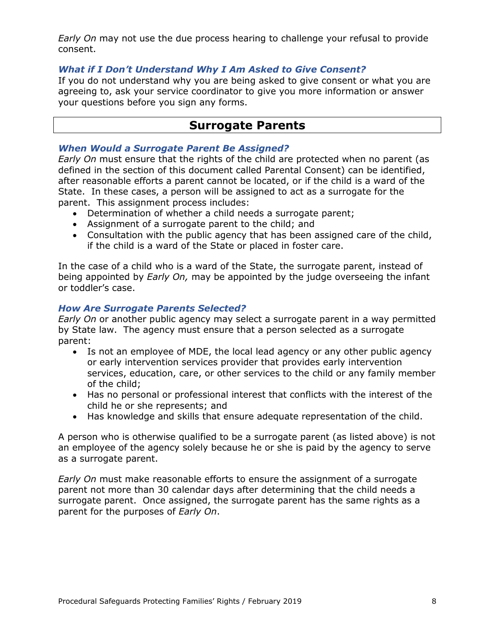*Early On* may not use the due process hearing to challenge your refusal to provide consent.

#### *What if I Don't Understand Why I Am Asked to Give Consent?*

If you do not understand why you are being asked to give consent or what you are agreeing to, ask your service coordinator to give you more information or answer your questions before you sign any forms.

# **Surrogate Parents**

#### *When Would a Surrogate Parent Be Assigned?*

*Early On* must ensure that the rights of the child are protected when no parent (as defined in the section of this document called Parental Consent) can be identified, after reasonable efforts a parent cannot be located, or if the child is a ward of the State. In these cases, a person will be assigned to act as a surrogate for the parent. This assignment process includes:

- Determination of whether a child needs a surrogate parent;
- Assignment of a surrogate parent to the child; and
- Consultation with the public agency that has been assigned care of the child, if the child is a ward of the State or placed in foster care.

In the case of a child who is a ward of the State, the surrogate parent, instead of being appointed by *Early On,* may be appointed by the judge overseeing the infant or toddler's case.

#### *How Are Surrogate Parents Selected?*

*Early On* or another public agency may select a surrogate parent in a way permitted by State law. The agency must ensure that a person selected as a surrogate parent:

- Is not an employee of MDE, the local lead agency or any other public agency or early intervention services provider that provides early intervention services, education, care, or other services to the child or any family member of the child;
- Has no personal or professional interest that conflicts with the interest of the child he or she represents; and
- Has knowledge and skills that ensure adequate representation of the child.

A person who is otherwise qualified to be a surrogate parent (as listed above) is not an employee of the agency solely because he or she is paid by the agency to serve as a surrogate parent.

*Early On* must make reasonable efforts to ensure the assignment of a surrogate parent not more than 30 calendar days after determining that the child needs a surrogate parent. Once assigned, the surrogate parent has the same rights as a parent for the purposes of *Early On*.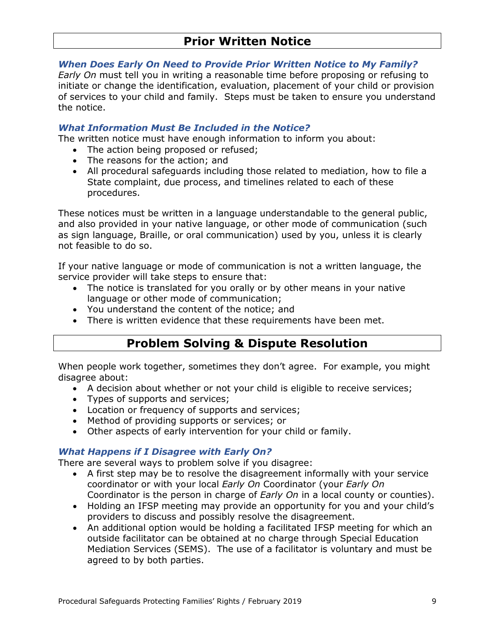# **Prior Written Notice**

#### *When Does Early On Need to Provide Prior Written Notice to My Family?*

*Early On* must tell you in writing a reasonable time before proposing or refusing to initiate or change the identification, evaluation, placement of your child or provision of services to your child and family. Steps must be taken to ensure you understand the notice.

#### *What Information Must Be Included in the Notice?*

The written notice must have enough information to inform you about:

- The action being proposed or refused;
- The reasons for the action; and
- All procedural safeguards including those related to mediation, how to file a State complaint, due process, and timelines related to each of these procedures.

These notices must be written in a language understandable to the general public, and also provided in your native language, or other mode of communication (such as sign language, Braille, or oral communication) used by you, unless it is clearly not feasible to do so.

If your native language or mode of communication is not a written language, the service provider will take steps to ensure that:

- The notice is translated for you orally or by other means in your native language or other mode of communication;
- You understand the content of the notice; and
- There is written evidence that these requirements have been met.

# **Problem Solving & Dispute Resolution**

When people work together, sometimes they don't agree. For example, you might disagree about:

- A decision about whether or not your child is eligible to receive services;
- Types of supports and services;
- Location or frequency of supports and services;
- Method of providing supports or services; or
- Other aspects of early intervention for your child or family.

#### *What Happens if I Disagree with Early On?*

There are several ways to problem solve if you disagree:

- A first step may be to resolve the disagreement informally with your service coordinator or with your local *Early On* Coordinator (your *Early On* Coordinator is the person in charge of *Early On* in a local county or counties).
- Holding an IFSP meeting may provide an opportunity for you and your child's providers to discuss and possibly resolve the disagreement.
- An additional option would be holding a facilitated IFSP meeting for which an outside facilitator can be obtained at no charge through Special Education Mediation Services (SEMS). The use of a facilitator is voluntary and must be agreed to by both parties.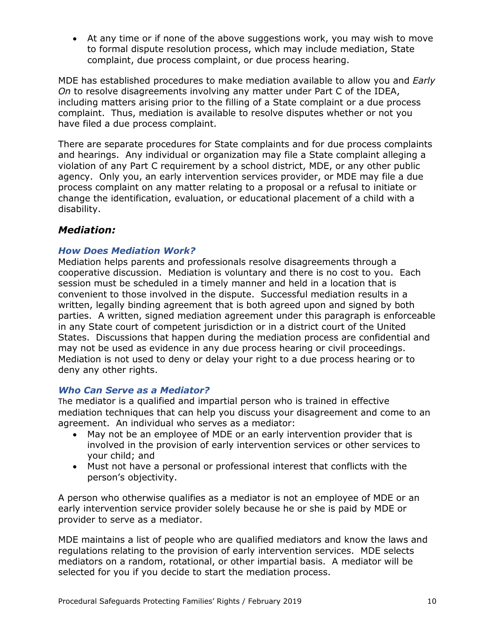• At any time or if none of the above suggestions work, you may wish to move to formal dispute resolution process, which may include mediation, State complaint, due process complaint, or due process hearing.

MDE has established procedures to make mediation available to allow you and *Early On* to resolve disagreements involving any matter under Part C of the IDEA, including matters arising prior to the filling of a State complaint or a due process complaint. Thus, mediation is available to resolve disputes whether or not you have filed a due process complaint.

There are separate procedures for State complaints and for due process complaints and hearings. Any individual or organization may file a State complaint alleging a violation of any Part C requirement by a school district, MDE, or any other public agency. Only you, an early intervention services provider, or MDE may file a due process complaint on any matter relating to a proposal or a refusal to initiate or change the identification, evaluation, or educational placement of a child with a disability.

# *Mediation:*

#### *How Does Mediation Work?*

Mediation helps parents and professionals resolve disagreements through a cooperative discussion. Mediation is voluntary and there is no cost to you. Each session must be scheduled in a timely manner and held in a location that is convenient to those involved in the dispute. Successful mediation results in a written, legally binding agreement that is both agreed upon and signed by both parties. A written, signed mediation agreement under this paragraph is enforceable in any State court of competent jurisdiction or in a district court of the United States. Discussions that happen during the mediation process are confidential and may not be used as evidence in any due process hearing or civil proceedings. Mediation is not used to deny or delay your right to a due process hearing or to deny any other rights.

#### *Who Can Serve as a Mediator?*

The mediator is a qualified and impartial person who is trained in effective mediation techniques that can help you discuss your disagreement and come to an agreement. An individual who serves as a mediator:

- May not be an employee of MDE or an early intervention provider that is involved in the provision of early intervention services or other services to your child; and
- Must not have a personal or professional interest that conflicts with the person's objectivity.

A person who otherwise qualifies as a mediator is not an employee of MDE or an early intervention service provider solely because he or she is paid by MDE or provider to serve as a mediator.

MDE maintains a list of people who are qualified mediators and know the laws and regulations relating to the provision of early intervention services. MDE selects mediators on a random, rotational, or other impartial basis. A mediator will be selected for you if you decide to start the mediation process.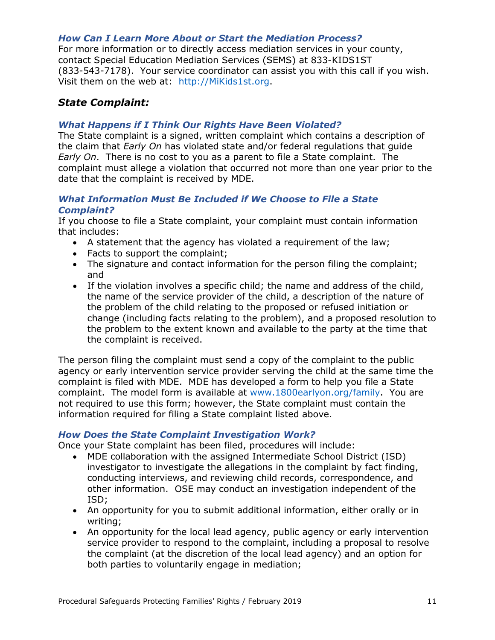#### *How Can I Learn More About or Start the Mediation Process?*

For more information or to directly access mediation services in your county, contact Special Education Mediation Services (SEMS) at 833-KIDS1ST (833-543-7178). Your service coordinator can assist you with this call if you wish. Visit them on the web at: [http://MiKids1st.org.](http://mikids1st.org/)

## *State Complaint:*

#### *What Happens if I Think Our Rights Have Been Violated?*

The State complaint is a signed, written complaint which contains a description of the claim that *Early On* has violated state and/or federal regulations that guide *Early On*. There is no cost to you as a parent to file a State complaint. The complaint must allege a violation that occurred not more than one year prior to the date that the complaint is received by MDE.

#### *What Information Must Be Included if We Choose to File a State Complaint?*

If you choose to file a State complaint, your complaint must contain information that includes:

- A statement that the agency has violated a requirement of the law;
- Facts to support the complaint;
- The signature and contact information for the person filing the complaint; and
- If the violation involves a specific child; the name and address of the child, the name of the service provider of the child, a description of the nature of the problem of the child relating to the proposed or refused initiation or change (including facts relating to the problem), and a proposed resolution to the problem to the extent known and available to the party at the time that the complaint is received.

The person filing the complaint must send a copy of the complaint to the public agency or early intervention service provider serving the child at the same time the complaint is filed with MDE. MDE has developed a form to help you file a State complaint. The model form is available at [www.1800earlyon.org/family.](http://www.1800earlyon.org/family) You are not required to use this form; however, the State complaint must contain the information required for filing a State complaint listed above.

#### *How Does the State Complaint Investigation Work?*

Once your State complaint has been filed, procedures will include:

- MDE collaboration with the assigned Intermediate School District (ISD) investigator to investigate the allegations in the complaint by fact finding, conducting interviews, and reviewing child records, correspondence, and other information. OSE may conduct an investigation independent of the ISD;
- An opportunity for you to submit additional information, either orally or in writing;
- An opportunity for the local lead agency, public agency or early intervention service provider to respond to the complaint, including a proposal to resolve the complaint (at the discretion of the local lead agency) and an option for both parties to voluntarily engage in mediation;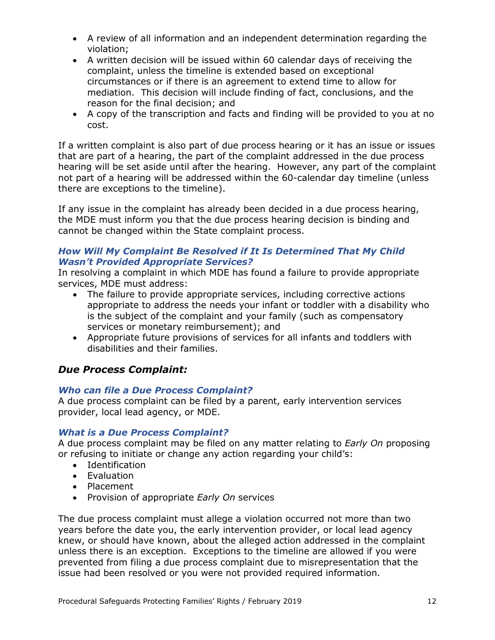- A review of all information and an independent determination regarding the violation;
- A written decision will be issued within 60 calendar days of receiving the complaint, unless the timeline is extended based on exceptional circumstances or if there is an agreement to extend time to allow for mediation. This decision will include finding of fact, conclusions, and the reason for the final decision; and
- A copy of the transcription and facts and finding will be provided to you at no cost.

If a written complaint is also part of due process hearing or it has an issue or issues that are part of a hearing, the part of the complaint addressed in the due process hearing will be set aside until after the hearing. However, any part of the complaint not part of a hearing will be addressed within the 60-calendar day timeline (unless there are exceptions to the timeline).

If any issue in the complaint has already been decided in a due process hearing, the MDE must inform you that the due process hearing decision is binding and cannot be changed within the State complaint process.

#### *How Will My Complaint Be Resolved if It Is Determined That My Child Wasn't Provided Appropriate Services?*

In resolving a complaint in which MDE has found a failure to provide appropriate services, MDE must address:

- The failure to provide appropriate services, including corrective actions appropriate to address the needs your infant or toddler with a disability who is the subject of the complaint and your family (such as compensatory services or monetary reimbursement); and
- Appropriate future provisions of services for all infants and toddlers with disabilities and their families.

# *Due Process Complaint:*

#### *Who can file a Due Process Complaint?*

A due process complaint can be filed by a parent, early intervention services provider, local lead agency, or MDE.

#### *What is a Due Process Complaint?*

A due process complaint may be filed on any matter relating to *Early On* proposing or refusing to initiate or change any action regarding your child's:

- Identification
- Evaluation
- Placement
- Provision of appropriate *Early On* services

The due process complaint must allege a violation occurred not more than two years before the date you, the early intervention provider, or local lead agency knew, or should have known, about the alleged action addressed in the complaint unless there is an exception. Exceptions to the timeline are allowed if you were prevented from filing a due process complaint due to misrepresentation that the issue had been resolved or you were not provided required information.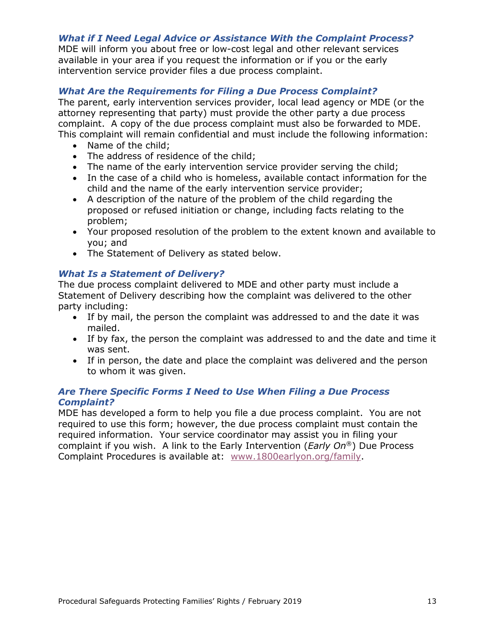#### *What if I Need Legal Advice or Assistance With the Complaint Process?*

MDE will inform you about free or low-cost legal and other relevant services available in your area if you request the information or if you or the early intervention service provider files a due process complaint.

#### *What Are the Requirements for Filing a Due Process Complaint?*

The parent, early intervention services provider, local lead agency or MDE (or the attorney representing that party) must provide the other party a due process complaint. A copy of the due process complaint must also be forwarded to MDE. This complaint will remain confidential and must include the following information:

- Name of the child;
- The address of residence of the child;
- The name of the early intervention service provider serving the child;
- In the case of a child who is homeless, available contact information for the child and the name of the early intervention service provider;
- A description of the nature of the problem of the child regarding the proposed or refused initiation or change, including facts relating to the problem;
- Your proposed resolution of the problem to the extent known and available to you; and
- The Statement of Delivery as stated below.

#### *What Is a Statement of Delivery?*

The due process complaint delivered to MDE and other party must include a Statement of Delivery describing how the complaint was delivered to the other party including:

- If by mail, the person the complaint was addressed to and the date it was mailed.
- If by fax, the person the complaint was addressed to and the date and time it was sent.
- If in person, the date and place the complaint was delivered and the person to whom it was given.

#### *Are There Specific Forms I Need to Use When Filing a Due Process Complaint?*

MDE has developed a form to help you file a due process complaint. You are not required to use this form; however, the due process complaint must contain the required information. Your service coordinator may assist you in filing your complaint if you wish. A link to the Early Intervention (*Early On*®) Due Process Complaint Procedures is available at: [www.1800earlyon.org/family.](http://www.1800earlyon.org/family)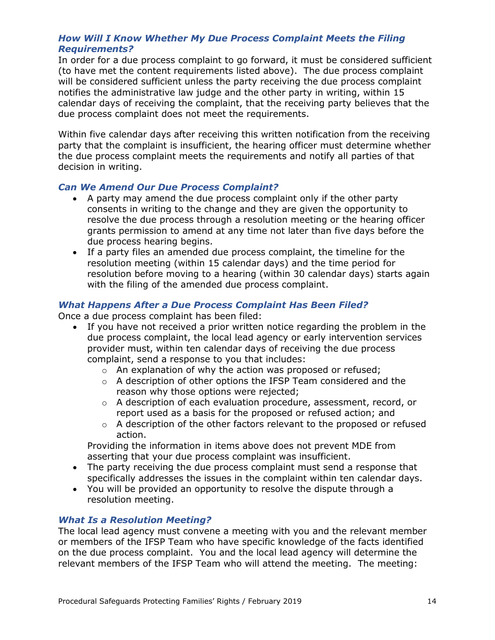#### *How Will I Know Whether My Due Process Complaint Meets the Filing Requirements?*

In order for a due process complaint to go forward, it must be considered sufficient (to have met the content requirements listed above). The due process complaint will be considered sufficient unless the party receiving the due process complaint notifies the administrative law judge and the other party in writing, within 15 calendar days of receiving the complaint, that the receiving party believes that the due process complaint does not meet the requirements.

Within five calendar days after receiving this written notification from the receiving party that the complaint is insufficient, the hearing officer must determine whether the due process complaint meets the requirements and notify all parties of that decision in writing.

#### *Can We Amend Our Due Process Complaint?*

- A party may amend the due process complaint only if the other party consents in writing to the change and they are given the opportunity to resolve the due process through a resolution meeting or the hearing officer grants permission to amend at any time not later than five days before the due process hearing begins.
- If a party files an amended due process complaint, the timeline for the resolution meeting (within 15 calendar days) and the time period for resolution before moving to a hearing (within 30 calendar days) starts again with the filing of the amended due process complaint.

#### *What Happens After a Due Process Complaint Has Been Filed?*

Once a due process complaint has been filed:

- If you have not received a prior written notice regarding the problem in the due process complaint, the local lead agency or early intervention services provider must, within ten calendar days of receiving the due process complaint, send a response to you that includes:
	- o An explanation of why the action was proposed or refused;
	- o A description of other options the IFSP Team considered and the reason why those options were rejected;
	- $\circ$  A description of each evaluation procedure, assessment, record, or report used as a basis for the proposed or refused action; and
	- $\circ$  A description of the other factors relevant to the proposed or refused action.

Providing the information in items above does not prevent MDE from asserting that your due process complaint was insufficient.

- The party receiving the due process complaint must send a response that specifically addresses the issues in the complaint within ten calendar days.
- You will be provided an opportunity to resolve the dispute through a resolution meeting.

#### *What Is a Resolution Meeting?*

The local lead agency must convene a meeting with you and the relevant member or members of the IFSP Team who have specific knowledge of the facts identified on the due process complaint. You and the local lead agency will determine the relevant members of the IFSP Team who will attend the meeting. The meeting: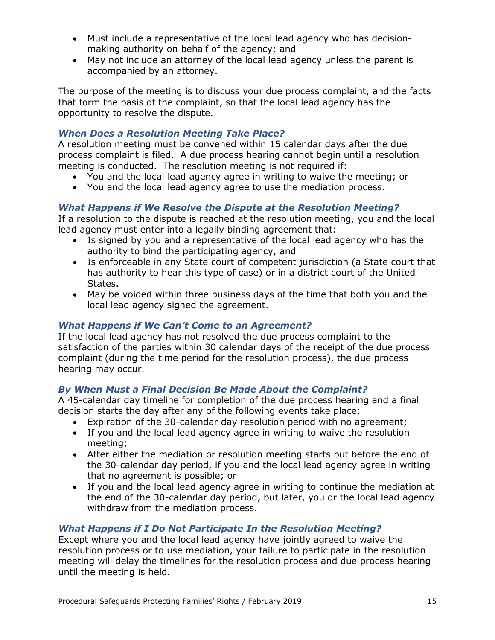- Must include a representative of the local lead agency who has decisionmaking authority on behalf of the agency; and
- May not include an attorney of the local lead agency unless the parent is accompanied by an attorney.

The purpose of the meeting is to discuss your due process complaint, and the facts that form the basis of the complaint, so that the local lead agency has the opportunity to resolve the dispute.

# *When Does a Resolution Meeting Take Place?*

A resolution meeting must be convened within 15 calendar days after the due process complaint is filed. A due process hearing cannot begin until a resolution meeting is conducted. The resolution meeting is not required if:

- You and the local lead agency agree in writing to waive the meeting; or
- You and the local lead agency agree to use the mediation process.

#### *What Happens if We Resolve the Dispute at the Resolution Meeting?*

If a resolution to the dispute is reached at the resolution meeting, you and the local lead agency must enter into a legally binding agreement that:

- Is signed by you and a representative of the local lead agency who has the authority to bind the participating agency, and
- Is enforceable in any State court of competent jurisdiction (a State court that has authority to hear this type of case) or in a district court of the United States.
- May be voided within three business days of the time that both you and the local lead agency signed the agreement.

#### *What Happens if We Can't Come to an Agreement?*

If the local lead agency has not resolved the due process complaint to the satisfaction of the parties within 30 calendar days of the receipt of the due process complaint (during the time period for the resolution process), the due process hearing may occur.

#### *By When Must a Final Decision Be Made About the Complaint?*

A 45-calendar day timeline for completion of the due process hearing and a final decision starts the day after any of the following events take place:

- Expiration of the 30-calendar day resolution period with no agreement;
- If you and the local lead agency agree in writing to waive the resolution meeting;
- After either the mediation or resolution meeting starts but before the end of the 30-calendar day period, if you and the local lead agency agree in writing that no agreement is possible; or
- If you and the local lead agency agree in writing to continue the mediation at the end of the 30-calendar day period, but later, you or the local lead agency withdraw from the mediation process.

#### *What Happens if I Do Not Participate In the Resolution Meeting?*

Except where you and the local lead agency have jointly agreed to waive the resolution process or to use mediation, your failure to participate in the resolution meeting will delay the timelines for the resolution process and due process hearing until the meeting is held.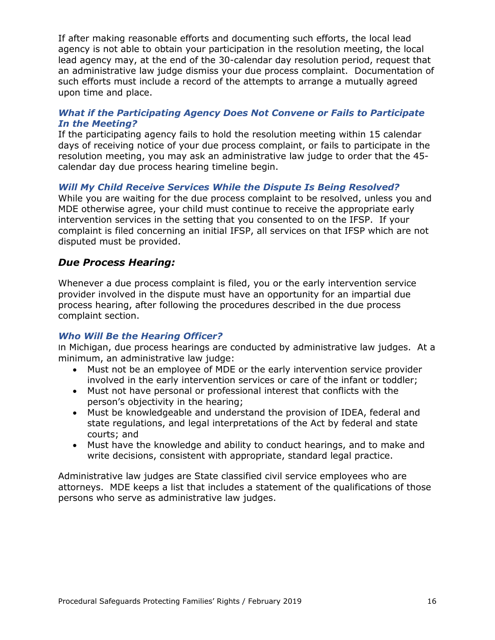If after making reasonable efforts and documenting such efforts, the local lead agency is not able to obtain your participation in the resolution meeting, the local lead agency may, at the end of the 30-calendar day resolution period, request that an administrative law judge dismiss your due process complaint. Documentation of such efforts must include a record of the attempts to arrange a mutually agreed upon time and place.

#### *What if the Participating Agency Does Not Convene or Fails to Participate In the Meeting?*

If the participating agency fails to hold the resolution meeting within 15 calendar days of receiving notice of your due process complaint, or fails to participate in the resolution meeting, you may ask an administrative law judge to order that the 45 calendar day due process hearing timeline begin.

#### *Will My Child Receive Services While the Dispute Is Being Resolved?*

While you are waiting for the due process complaint to be resolved, unless you and MDE otherwise agree, your child must continue to receive the appropriate early intervention services in the setting that you consented to on the IFSP. If your complaint is filed concerning an initial IFSP, all services on that IFSP which are not disputed must be provided.

## *Due Process Hearing:*

Whenever a due process complaint is filed, you or the early intervention service provider involved in the dispute must have an opportunity for an impartial due process hearing, after following the procedures described in the due process complaint section.

#### *Who Will Be the Hearing Officer?*

In Michigan, due process hearings are conducted by administrative law judges. At a minimum, an administrative law judge:

- Must not be an employee of MDE or the early intervention service provider involved in the early intervention services or care of the infant or toddler;
- Must not have personal or professional interest that conflicts with the person's objectivity in the hearing;
- Must be knowledgeable and understand the provision of IDEA, federal and state regulations, and legal interpretations of the Act by federal and state courts; and
- Must have the knowledge and ability to conduct hearings, and to make and write decisions, consistent with appropriate, standard legal practice.

Administrative law judges are State classified civil service employees who are attorneys. MDE keeps a list that includes a statement of the qualifications of those persons who serve as administrative law judges.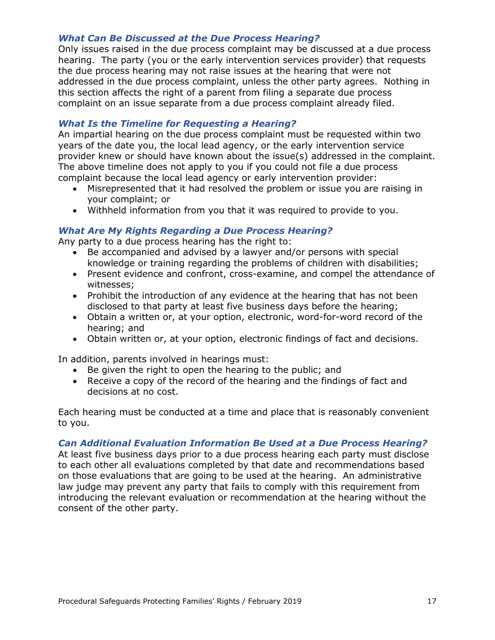#### *What Can Be Discussed at the Due Process Hearing?*

Only issues raised in the due process complaint may be discussed at a due process hearing. The party (you or the early intervention services provider) that requests the due process hearing may not raise issues at the hearing that were not addressed in the due process complaint, unless the other party agrees. Nothing in this section affects the right of a parent from filing a separate due process complaint on an issue separate from a due process complaint already filed.

#### *What Is the Timeline for Requesting a Hearing?*

An impartial hearing on the due process complaint must be requested within two years of the date you, the local lead agency, or the early intervention service provider knew or should have known about the issue(s) addressed in the complaint. The above timeline does not apply to you if you could not file a due process complaint because the local lead agency or early intervention provider:

- Misrepresented that it had resolved the problem or issue you are raising in your complaint; or
- Withheld information from you that it was required to provide to you.

#### *What Are My Rights Regarding a Due Process Hearing?*

Any party to a due process hearing has the right to:

- Be accompanied and advised by a lawyer and/or persons with special knowledge or training regarding the problems of children with disabilities;
- Present evidence and confront, cross-examine, and compel the attendance of witnesses;
- Prohibit the introduction of any evidence at the hearing that has not been disclosed to that party at least five business days before the hearing;
- Obtain a written or, at your option, electronic, word-for-word record of the hearing; and
- Obtain written or, at your option, electronic findings of fact and decisions.

In addition, parents involved in hearings must:

- Be given the right to open the hearing to the public; and
- Receive a copy of the record of the hearing and the findings of fact and decisions at no cost.

Each hearing must be conducted at a time and place that is reasonably convenient to you.

#### *Can Additional Evaluation Information Be Used at a Due Process Hearing?*

At least five business days prior to a due process hearing each party must disclose to each other all evaluations completed by that date and recommendations based on those evaluations that are going to be used at the hearing. An administrative law judge may prevent any party that fails to comply with this requirement from introducing the relevant evaluation or recommendation at the hearing without the consent of the other party.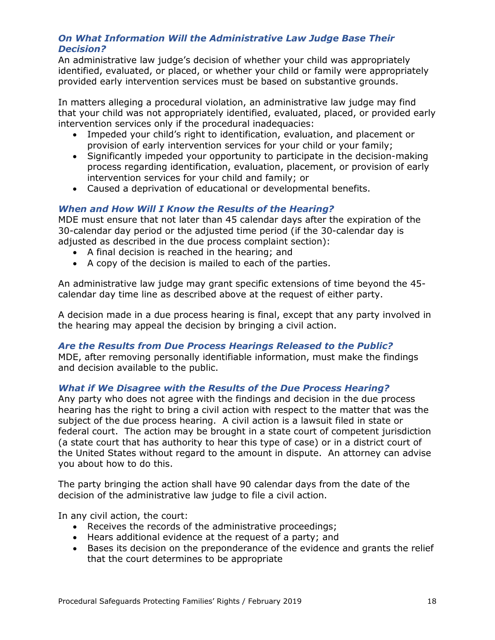#### *On What Information Will the Administrative Law Judge Base Their Decision?*

An administrative law judge's decision of whether your child was appropriately identified, evaluated, or placed, or whether your child or family were appropriately provided early intervention services must be based on substantive grounds.

In matters alleging a procedural violation, an administrative law judge may find that your child was not appropriately identified, evaluated, placed, or provided early intervention services only if the procedural inadequacies:

- Impeded your child's right to identification, evaluation, and placement or provision of early intervention services for your child or your family;
- Significantly impeded your opportunity to participate in the decision-making process regarding identification, evaluation, placement, or provision of early intervention services for your child and family; or
- Caused a deprivation of educational or developmental benefits.

## *When and How Will I Know the Results of the Hearing?*

MDE must ensure that not later than 45 calendar days after the expiration of the 30-calendar day period or the adjusted time period (if the 30-calendar day is adjusted as described in the due process complaint section):

- A final decision is reached in the hearing; and
- A copy of the decision is mailed to each of the parties.

An administrative law judge may grant specific extensions of time beyond the 45 calendar day time line as described above at the request of either party.

A decision made in a due process hearing is final, except that any party involved in the hearing may appeal the decision by bringing a civil action.

#### *Are the Results from Due Process Hearings Released to the Public?*

MDE, after removing personally identifiable information, must make the findings and decision available to the public.

#### *What if We Disagree with the Results of the Due Process Hearing?*

Any party who does not agree with the findings and decision in the due process hearing has the right to bring a civil action with respect to the matter that was the subject of the due process hearing. A civil action is a lawsuit filed in state or federal court. The action may be brought in a state court of competent jurisdiction (a state court that has authority to hear this type of case) or in a district court of the United States without regard to the amount in dispute. An attorney can advise you about how to do this.

The party bringing the action shall have 90 calendar days from the date of the decision of the administrative law judge to file a civil action.

In any civil action, the court:

- Receives the records of the administrative proceedings;
- Hears additional evidence at the request of a party; and
- Bases its decision on the preponderance of the evidence and grants the relief that the court determines to be appropriate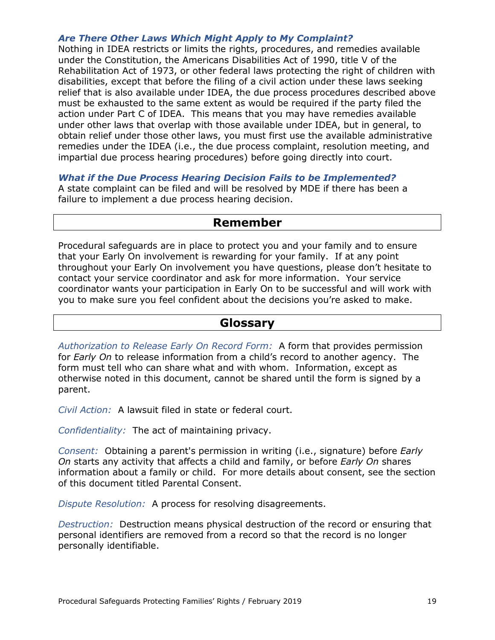#### *Are There Other Laws Which Might Apply to My Complaint?*

Nothing in IDEA restricts or limits the rights, procedures, and remedies available under the Constitution, the Americans Disabilities Act of 1990, title V of the Rehabilitation Act of 1973, or other federal laws protecting the right of children with disabilities, except that before the filing of a civil action under these laws seeking relief that is also available under IDEA, the due process procedures described above must be exhausted to the same extent as would be required if the party filed the action under Part C of IDEA. This means that you may have remedies available under other laws that overlap with those available under IDEA, but in general, to obtain relief under those other laws, you must first use the available administrative remedies under the IDEA (i.e., the due process complaint, resolution meeting, and impartial due process hearing procedures) before going directly into court.

*What if the Due Process Hearing Decision Fails to be Implemented?* A state complaint can be filed and will be resolved by MDE if there has been a failure to implement a due process hearing decision.

# **Remember**

Procedural safeguards are in place to protect you and your family and to ensure that your Early On involvement is rewarding for your family. If at any point throughout your Early On involvement you have questions, please don't hesitate to contact your service coordinator and ask for more information. Your service coordinator wants your participation in Early On to be successful and will work with you to make sure you feel confident about the decisions you're asked to make.

# **Glossary**

*Authorization to Release Early On Record Form:* A form that provides permission for *Early On* to release information from a child's record to another agency. The form must tell who can share what and with whom. Information, except as otherwise noted in this document, cannot be shared until the form is signed by a parent.

*Civil Action:* A lawsuit filed in state or federal court.

*Confidentiality:* The act of maintaining privacy.

*Consent:* Obtaining a parent's permission in writing (i.e., signature) before *Early On* starts any activity that affects a child and family, or before *Early On* shares information about a family or child. For more details about consent, see the section of this document titled Parental Consent.

*Dispute Resolution:* A process for resolving disagreements.

*Destruction:* Destruction means physical destruction of the record or ensuring that personal identifiers are removed from a record so that the record is no longer personally identifiable.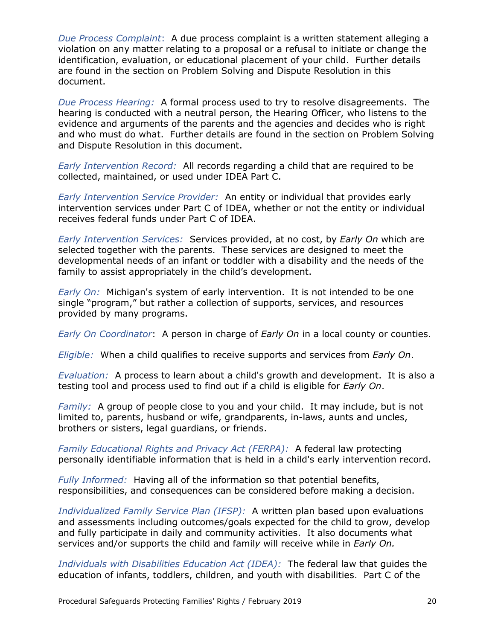*Due Process Complaint*: A due process complaint is a written statement alleging a violation on any matter relating to a proposal or a refusal to initiate or change the identification, evaluation, or educational placement of your child. Further details are found in the section on Problem Solving and Dispute Resolution in this document.

*Due Process Hearing:* A formal process used to try to resolve disagreements. The hearing is conducted with a neutral person, the Hearing Officer, who listens to the evidence and arguments of the parents and the agencies and decides who is right and who must do what. Further details are found in the section on Problem Solving and Dispute Resolution in this document.

*Early Intervention Record:* All records regarding a child that are required to be collected, maintained, or used under IDEA Part C.

*Early Intervention Service Provider:* An entity or individual that provides early intervention services under Part C of IDEA, whether or not the entity or individual receives federal funds under Part C of IDEA.

*Early Intervention Services:* Services provided, at no cost, by *Early On* which are selected together with the parents. These services are designed to meet the developmental needs of an infant or toddler with a disability and the needs of the family to assist appropriately in the child's development.

*Early On:* Michigan's system of early intervention. It is not intended to be one single "program," but rather a collection of supports, services, and resources provided by many programs.

*Early On Coordinator*: A person in charge of *Early On* in a local county or counties.

*Eligible:* When a child qualifies to receive supports and services from *Early On*.

*Evaluation:* A process to learn about a child's growth and development. It is also a testing tool and process used to find out if a child is eligible for *Early On*.

*Family:* A group of people close to you and your child. It may include, but is not limited to, parents, husband or wife, grandparents, in-laws, aunts and uncles, brothers or sisters, legal guardians, or friends.

*Family Educational Rights and Privacy Act (FERPA):* A federal law protecting personally identifiable information that is held in a child's early intervention record.

*Fully Informed:* Having all of the information so that potential benefits, responsibilities, and consequences can be considered before making a decision.

*Individualized Family Service Plan (IFSP):* A written plan based upon evaluations and assessments including outcomes/goals expected for the child to grow, develop and fully participate in daily and community activities. It also documents what services and/or supports the child and famil*y* will receive while in *Early On.*

*Individuals with Disabilities Education Act (IDEA):* The federal law that guides the education of infants, toddlers, children, and youth with disabilities. Part C of the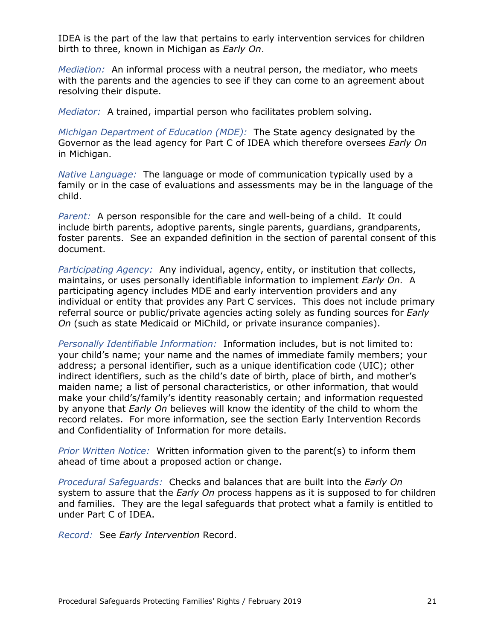IDEA is the part of the law that pertains to early intervention services for children birth to three, known in Michigan as *Early On*.

*Mediation:* An informal process with a neutral person, the mediator, who meets with the parents and the agencies to see if they can come to an agreement about resolving their dispute.

*Mediator:* A trained, impartial person who facilitates problem solving.

*Michigan Department of Education (MDE):* The State agency designated by the Governor as the lead agency for Part C of IDEA which therefore oversees *Early On* in Michigan.

*Native Language:* The language or mode of communication typically used by a family or in the case of evaluations and assessments may be in the language of the child.

*Parent:* A person responsible for the care and well-being of a child. It could include birth parents, adoptive parents, single parents, guardians, grandparents, foster parents. See an expanded definition in the section of parental consent of this document.

*Participating Agency:* Any individual, agency, entity, or institution that collects, maintains, or uses personally identifiable information to implement *Early On.* A participating agency includes MDE and early intervention providers and any individual or entity that provides any Part C services. This does not include primary referral source or public/private agencies acting solely as funding sources for *Early On* (such as state Medicaid or MiChild, or private insurance companies).

*Personally Identifiable Information:* Information includes, but is not limited to: your child's name; your name and the names of immediate family members; your address; a personal identifier, such as a unique identification code (UIC); other indirect identifiers, such as the child's date of birth, place of birth, and mother's maiden name; a list of personal characteristics, or other information, that would make your child's/family's identity reasonably certain; and information requested by anyone that *Early On* believes will know the identity of the child to whom the record relates. For more information, see the section Early Intervention Records and Confidentiality of Information for more details.

*Prior Written Notice:* Written information given to the parent(s) to inform them ahead of time about a proposed action or change.

*Procedural Safeguards:* Checks and balances that are built into the *Early On* system to assure that the *Early On* process happens as it is supposed to for children and families. They are the legal safeguards that protect what a family is entitled to under Part C of IDEA.

*Record:* See *Early Intervention* Record.